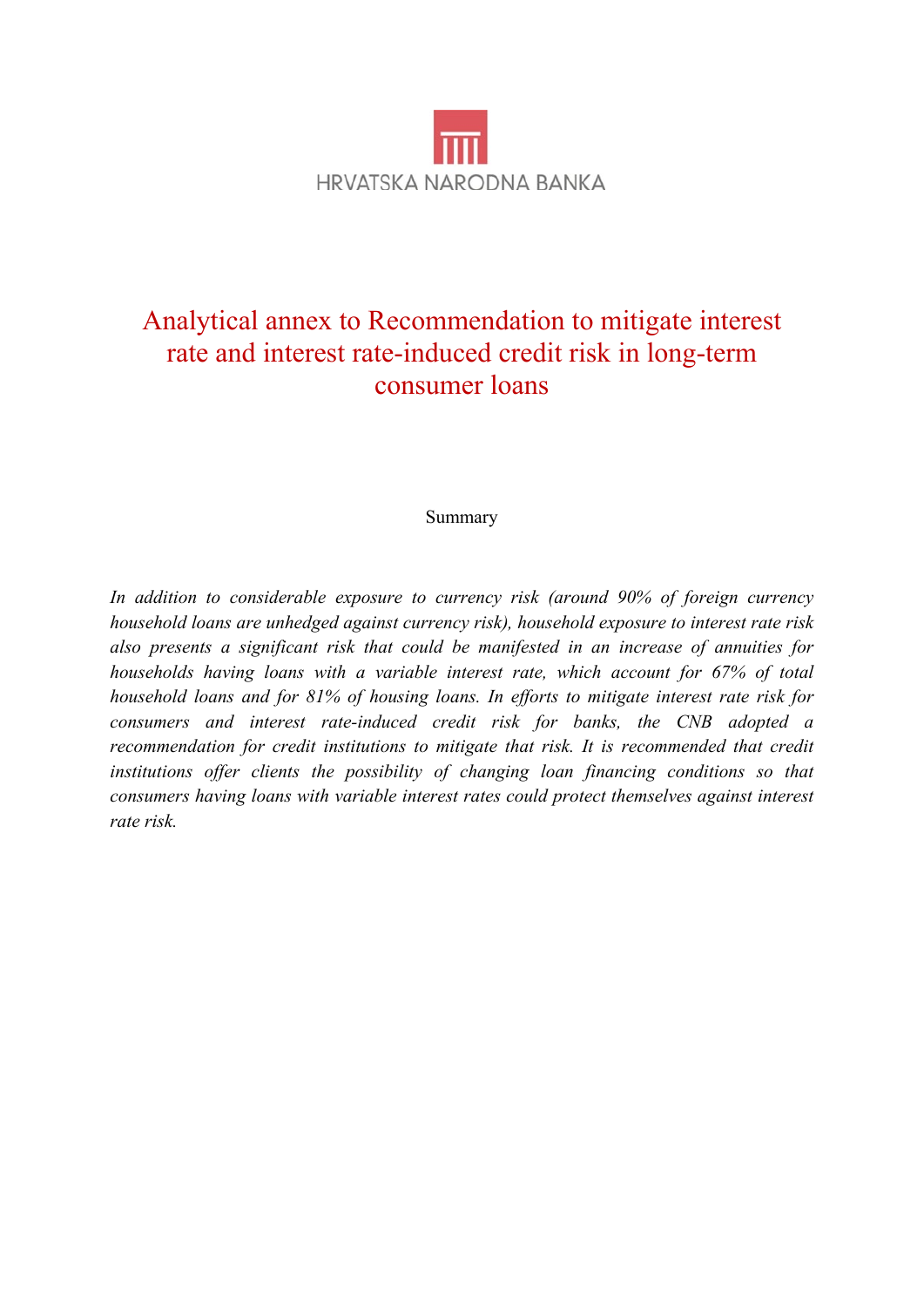

# Analytical annex to Recommendation to mitigate interest rate and interest rate-induced credit risk in long-term consumer loans

#### Summary

*In addition to considerable exposure to currency risk (around 90% of foreign currency household loans are unhedged against currency risk), household exposure to interest rate risk also presents a significant risk that could be manifested in an increase of annuities for households having loans with a variable interest rate, which account for 67% of total household loans and for 81% of housing loans. In efforts to mitigate interest rate risk for consumers and interest rate-induced credit risk for banks, the CNB adopted a recommendation for credit institutions to mitigate that risk. It is recommended that credit institutions offer clients the possibility of changing loan financing conditions so that consumers having loans with variable interest rates could protect themselves against interest rate risk.*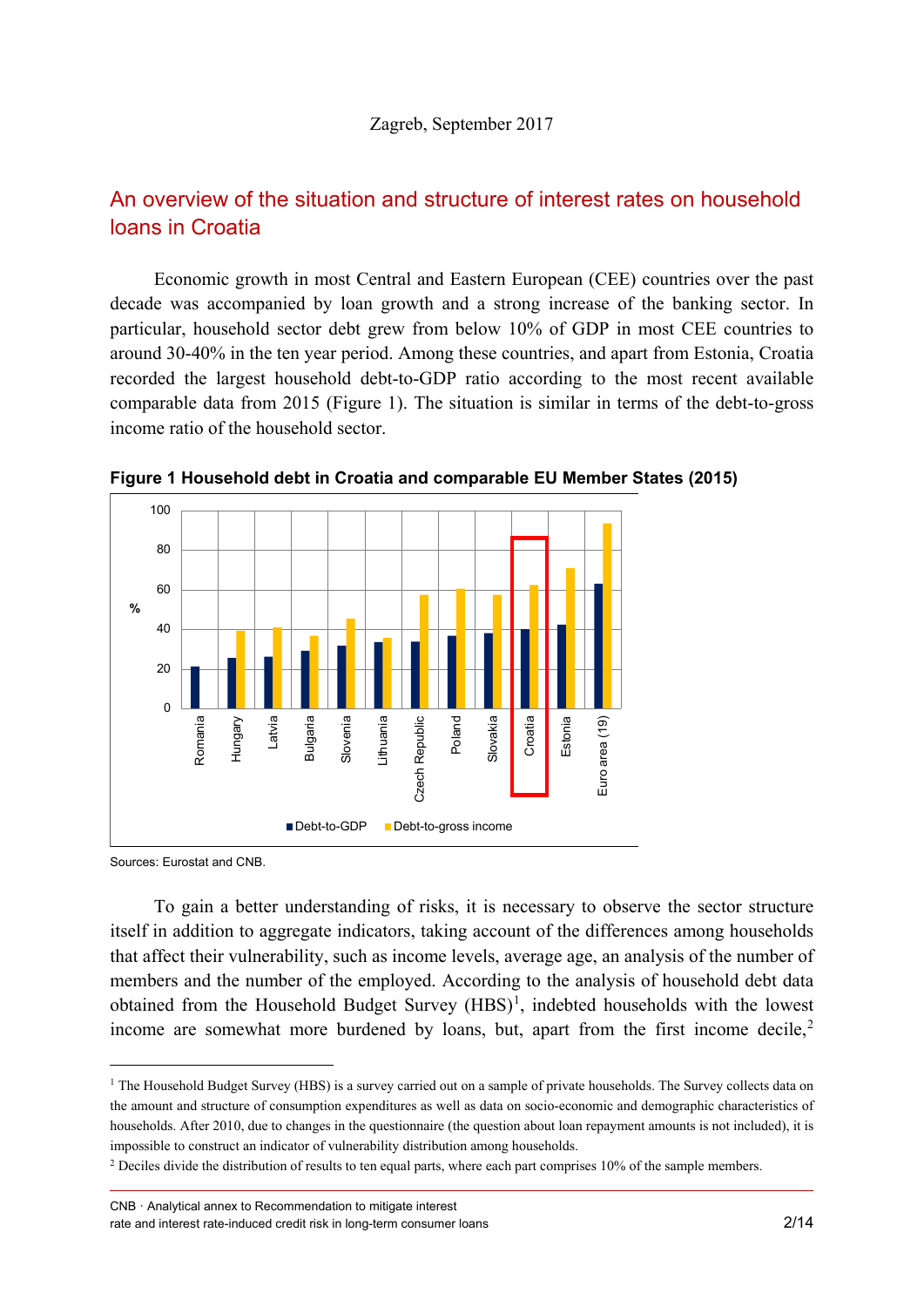# An overview of the situation and structure of interest rates on household loans in Croatia

Economic growth in most Central and Eastern European (CEE) countries over the past decade was accompanied by loan growth and a strong increase of the banking sector. In particular, household sector debt grew from below 10% of GDP in most CEE countries to around 30-40% in the ten year period. Among these countries, and apart from Estonia, Croatia recorded the largest household debt-to-GDP ratio according to the most recent available comparable data from 2015 (Figure 1). The situation is similar in terms of the debt-to-gross income ratio of the household sector.



**Figure 1 Household debt in Croatia and comparable EU Member States (2015)**

Sources: Eurostat and CNB.

To gain a better understanding of risks, it is necessary to observe the sector structure itself in addition to aggregate indicators, taking account of the differences among households that affect their vulnerability, such as income levels, average age, an analysis of the number of members and the number of the employed. According to the analysis of household debt data obtained from the Household Budget Survey  $(HBS)^1$  $(HBS)^1$ , indebted households with the lowest income are somewhat more burdened by loans, but, apart from the first income decile, $2$ 

CNB · Analytical annex to Recommendation to mitigate interest rate and interest rate-induced credit risk in long-term consumer loans 2/14

<span id="page-1-0"></span><sup>&</sup>lt;sup>1</sup> The Household Budget Survey (HBS) is a survey carried out on a sample of private households. The Survey collects data on the amount and structure of consumption expenditures as well as data on socio-economic and demographic characteristics of households. After 2010, due to changes in the questionnaire (the question about loan repayment amounts is not included), it is impossible to construct an indicator of vulnerability distribution among households.

<span id="page-1-1"></span><sup>&</sup>lt;sup>2</sup> Deciles divide the distribution of results to ten equal parts, where each part comprises 10% of the sample members.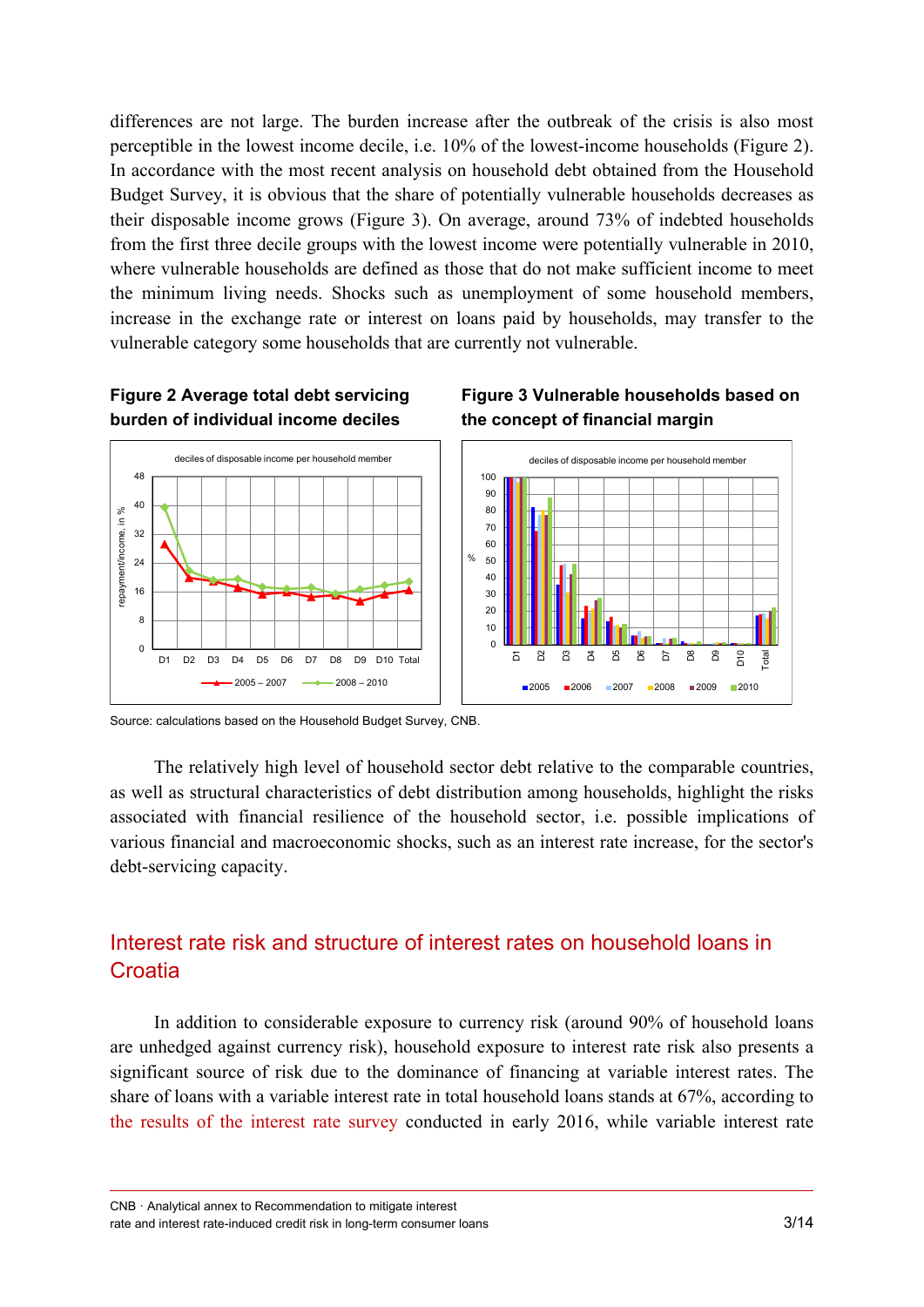differences are not large. The burden increase after the outbreak of the crisis is also most perceptible in the lowest income decile, i.e. 10% of the lowest-income households (Figure 2). In accordance with the most recent analysis on household debt obtained from the Household Budget Survey, it is obvious that the share of potentially vulnerable households decreases as their disposable income grows (Figure 3). On average, around 73% of indebted households from the first three decile groups with the lowest income were potentially vulnerable in 2010, where vulnerable households are defined as those that do not make sufficient income to meet the minimum living needs. Shocks such as unemployment of some household members, increase in the exchange rate or interest on loans paid by households, may transfer to the vulnerable category some households that are currently not vulnerable.

### **Figure 2 Average total debt servicing burden of individual income deciles**







Source: calculations based on the Household Budget Survey, CNB.

The relatively high level of household sector debt relative to the comparable countries, as well as structural characteristics of debt distribution among households, highlight the risks associated with financial resilience of the household sector, i.e. possible implications of various financial and macroeconomic shocks, such as an interest rate increase, for the sector's debt-servicing capacity.

# Interest rate risk and structure of interest rates on household loans in **Croatia**

In addition to considerable exposure to currency risk (around 90% of household loans are unhedged against currency risk), household exposure to interest rate risk also presents a significant source of risk due to the dominance of financing at variable interest rates. The share of loans with a variable interest rate in total household loans stands at 67%, according to [the results of the interest rate survey](https://www.hnb.hr/documents/20182/1816940/h-mpd-1-2017.pdf/783bc05b-0dfc-4402-817a-22fce52845c0) conducted in early 2016, while variable interest rate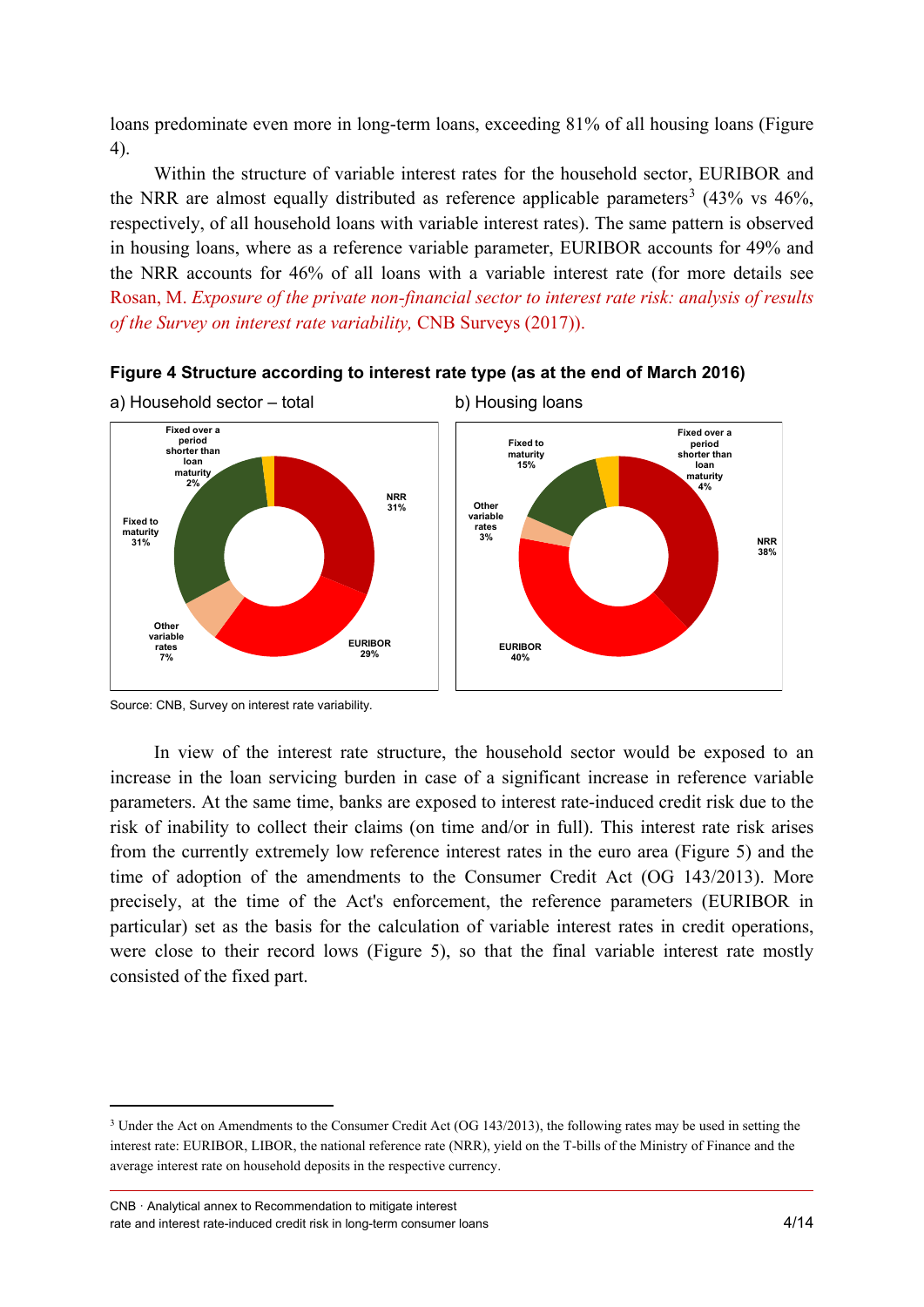loans predominate even more in long-term loans, exceeding 81% of all housing loans (Figure 4).

Within the structure of variable interest rates for the household sector, EURIBOR and the NRR are almost equally distributed as reference applicable parameters<sup>[3](#page-3-0)</sup> (43% vs 46%, respectively, of all household loans with variable interest rates). The same pattern is observed in housing loans, where as a reference variable parameter, EURIBOR accounts for 49% and the NRR accounts for 46% of all loans with a variable interest rate (for more details see Rosan, M. *[Exposure of the private non-financial sector to interest rate risk: analysis of results](http://www.hnb.hr/documents/20182/2041563/s-024.pdf/f4c43cc5-a37d-43f0-9710-fdc34f9f6817)  [of the Survey on interest rate variability,](http://www.hnb.hr/documents/20182/2041563/s-024.pdf/f4c43cc5-a37d-43f0-9710-fdc34f9f6817)* CNB Surveys (2017)).





In view of the interest rate structure, the household sector would be exposed to an increase in the loan servicing burden in case of a significant increase in reference variable parameters. At the same time, banks are exposed to interest rate-induced credit risk due to the risk of inability to collect their claims (on time and/or in full). This interest rate risk arises from the currently extremely low reference interest rates in the euro area (Figure 5) and the time of adoption of the amendments to the Consumer Credit Act (OG 143/2013). More precisely, at the time of the Act's enforcement, the reference parameters (EURIBOR in particular) set as the basis for the calculation of variable interest rates in credit operations, were close to their record lows (Figure 5), so that the final variable interest rate mostly consisted of the fixed part.

Source: CNB, Survey on interest rate variability.

<span id="page-3-0"></span><sup>&</sup>lt;sup>3</sup> Under the Act on Amendments to the Consumer Credit Act (OG 143/2013), the following rates may be used in setting the interest rate: EURIBOR, LIBOR, the national reference rate (NRR), yield on the T-bills of the Ministry of Finance and the average interest rate on household deposits in the respective currency.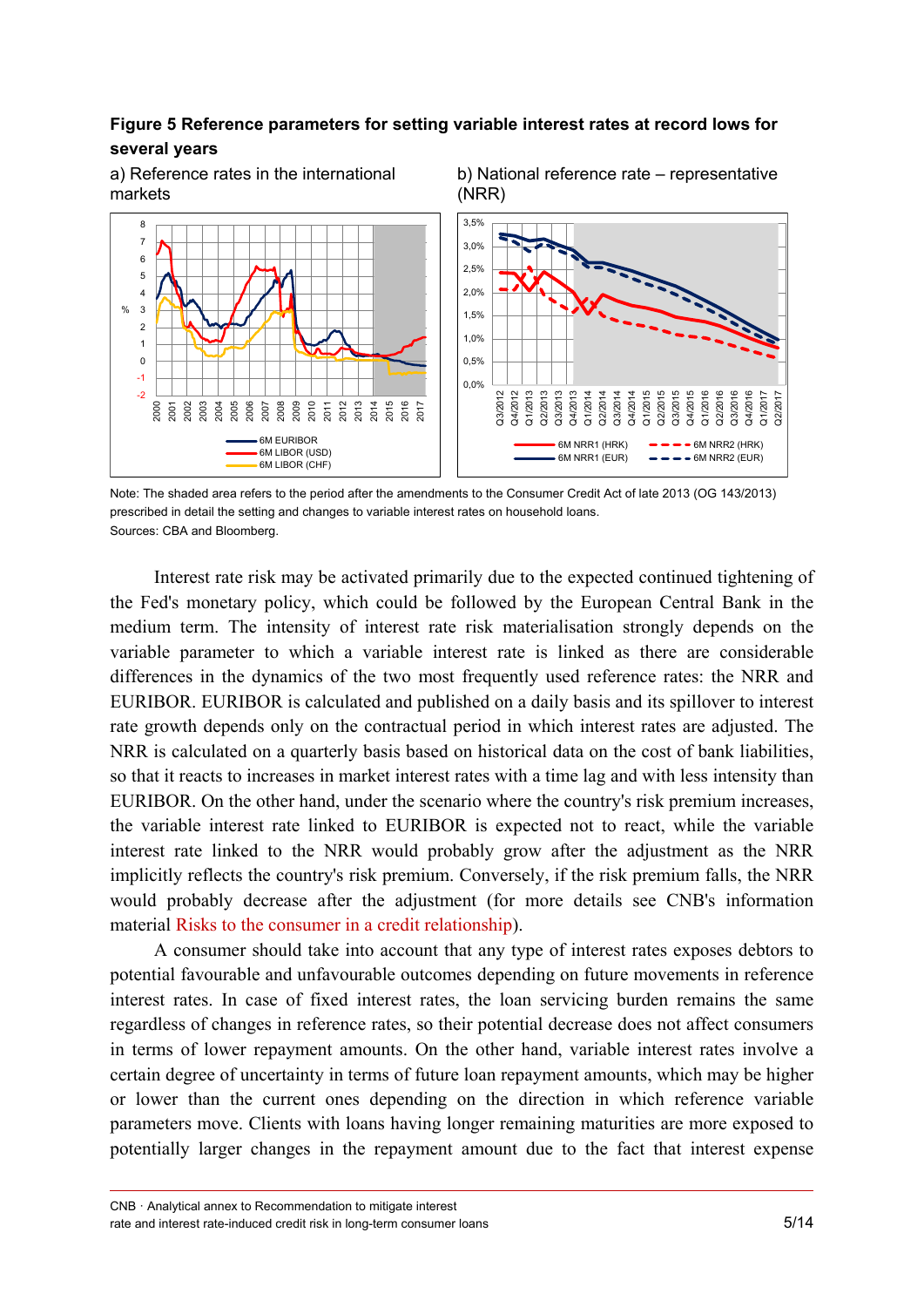### **Figure 5 Reference parameters for setting variable interest rates at record lows for several years**



a) Reference rates in the international markets

b) National reference rate – representative (NRR)

Note: The shaded area refers to the period after the amendments to the Consumer Credit Act of late 2013 (OG 143/2013) prescribed in detail the setting and changes to variable interest rates on household loans. Sources: CBA and Bloomberg.

Interest rate risk may be activated primarily due to the expected continued tightening of the Fed's monetary policy, which could be followed by the European Central Bank in the medium term. The intensity of interest rate risk materialisation strongly depends on the variable parameter to which a variable interest rate is linked as there are considerable differences in the dynamics of the two most frequently used reference rates: the NRR and EURIBOR. EURIBOR is calculated and published on a daily basis and its spillover to interest rate growth depends only on the contractual period in which interest rates are adjusted. The NRR is calculated on a quarterly basis based on historical data on the cost of bank liabilities, so that it reacts to increases in market interest rates with a time lag and with less intensity than EURIBOR. On the other hand, under the scenario where the country's risk premium increases, the variable interest rate linked to EURIBOR is expected not to react, while the variable interest rate linked to the NRR would probably grow after the adjustment as the NRR implicitly reflects the country's risk premium. Conversely, if the risk premium falls, the NRR would probably decrease after the adjustment (for more details see CNB's information material [Risks to the consumer in a credit relationship\)](https://www.hnb.hr/documents/20182/708449/Risks+to+the+consumer+in+a+credit+relationship.pdf/908d45f0-43fa-460a-a3ac-e5b85c962d98).

A consumer should take into account that any type of interest rates exposes debtors to potential favourable and unfavourable outcomes depending on future movements in reference interest rates. In case of fixed interest rates, the loan servicing burden remains the same regardless of changes in reference rates, so their potential decrease does not affect consumers in terms of lower repayment amounts. On the other hand, variable interest rates involve a certain degree of uncertainty in terms of future loan repayment amounts, which may be higher or lower than the current ones depending on the direction in which reference variable parameters move. Clients with loans having longer remaining maturities are more exposed to potentially larger changes in the repayment amount due to the fact that interest expense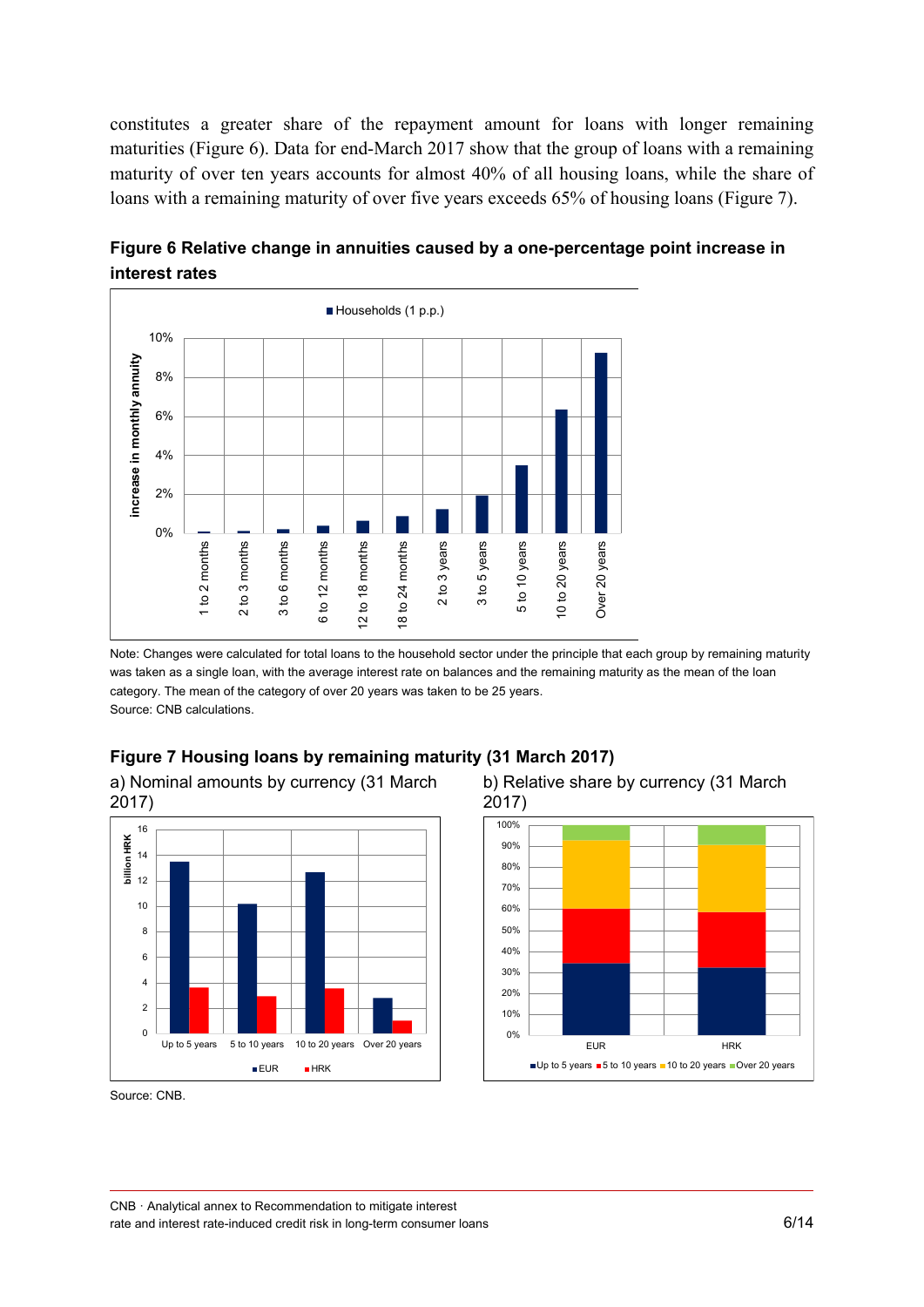constitutes a greater share of the repayment amount for loans with longer remaining maturities (Figure 6). Data for end-March 2017 show that the group of loans with a remaining maturity of over ten years accounts for almost 40% of all housing loans, while the share of loans with a remaining maturity of over five years exceeds 65% of housing loans (Figure 7).



**Figure 6 Relative change in annuities caused by a one-percentage point increase in interest rates**

Note: Changes were calculated for total loans to the household sector under the principle that each group by remaining maturity was taken as a single loan, with the average interest rate on balances and the remaining maturity as the mean of the loan category. The mean of the category of over 20 years was taken to be 25 years. Source: CNB calculations.

### **Figure 7 Housing loans by remaining maturity (31 March 2017)**

a) Nominal amounts by currency (31 March 2017)







Source: CNB.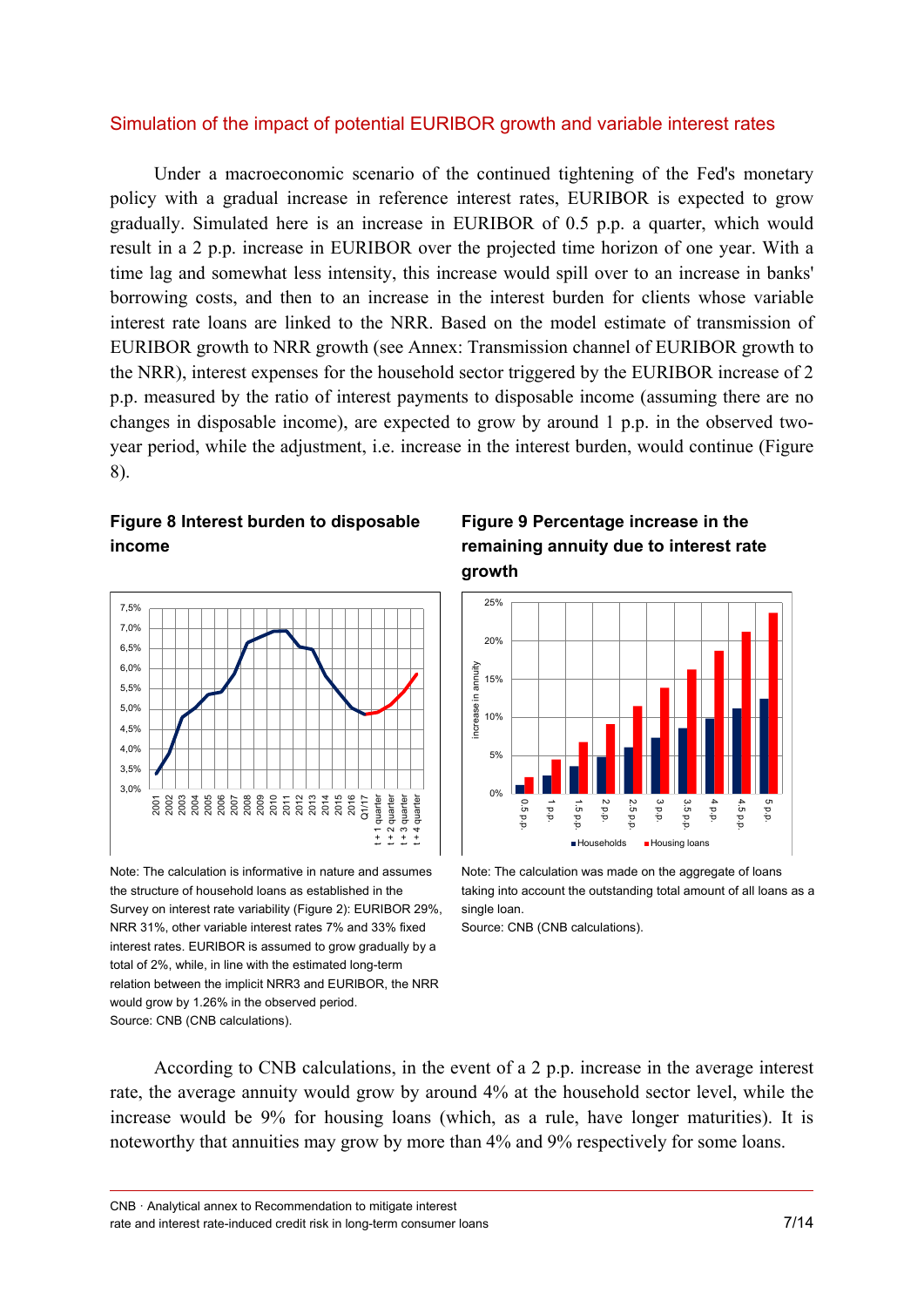### Simulation of the impact of potential EURIBOR growth and variable interest rates

Under a macroeconomic scenario of the continued tightening of the Fed's monetary policy with a gradual increase in reference interest rates, EURIBOR is expected to grow gradually. Simulated here is an increase in EURIBOR of 0.5 p.p. a quarter, which would result in a 2 p.p. increase in EURIBOR over the projected time horizon of one year. With a time lag and somewhat less intensity, this increase would spill over to an increase in banks' borrowing costs, and then to an increase in the interest burden for clients whose variable interest rate loans are linked to the NRR. Based on the model estimate of transmission of EURIBOR growth to NRR growth (see Annex: Transmission channel of EURIBOR growth to the NRR), interest expenses for the household sector triggered by the EURIBOR increase of 2 p.p. measured by the ratio of interest payments to disposable income (assuming there are no changes in disposable income), are expected to grow by around 1 p.p. in the observed twoyear period, while the adjustment, i.e. increase in the interest burden, would continue (Figure 8).

#### **Figure 8 Interest burden to disposable income**



Note: The calculation is informative in nature and assumes the structure of household loans as established in the Survey on interest rate variability (Figure 2): EURIBOR 29%, NRR 31%, other variable interest rates 7% and 33% fixed interest rates. EURIBOR is assumed to grow gradually by a total of 2%, while, in line with the estimated long-term relation between the implicit NRR3 and EURIBOR, the NRR would grow by 1.26% in the observed period. Source: CNB (CNB calculations).





Note: The calculation was made on the aggregate of loans taking into account the outstanding total amount of all loans as a single loan.

Source: CNB (CNB calculations).

According to CNB calculations, in the event of a 2 p.p. increase in the average interest rate, the average annuity would grow by around 4% at the household sector level, while the increase would be 9% for housing loans (which, as a rule, have longer maturities). It is noteworthy that annuities may grow by more than 4% and 9% respectively for some loans.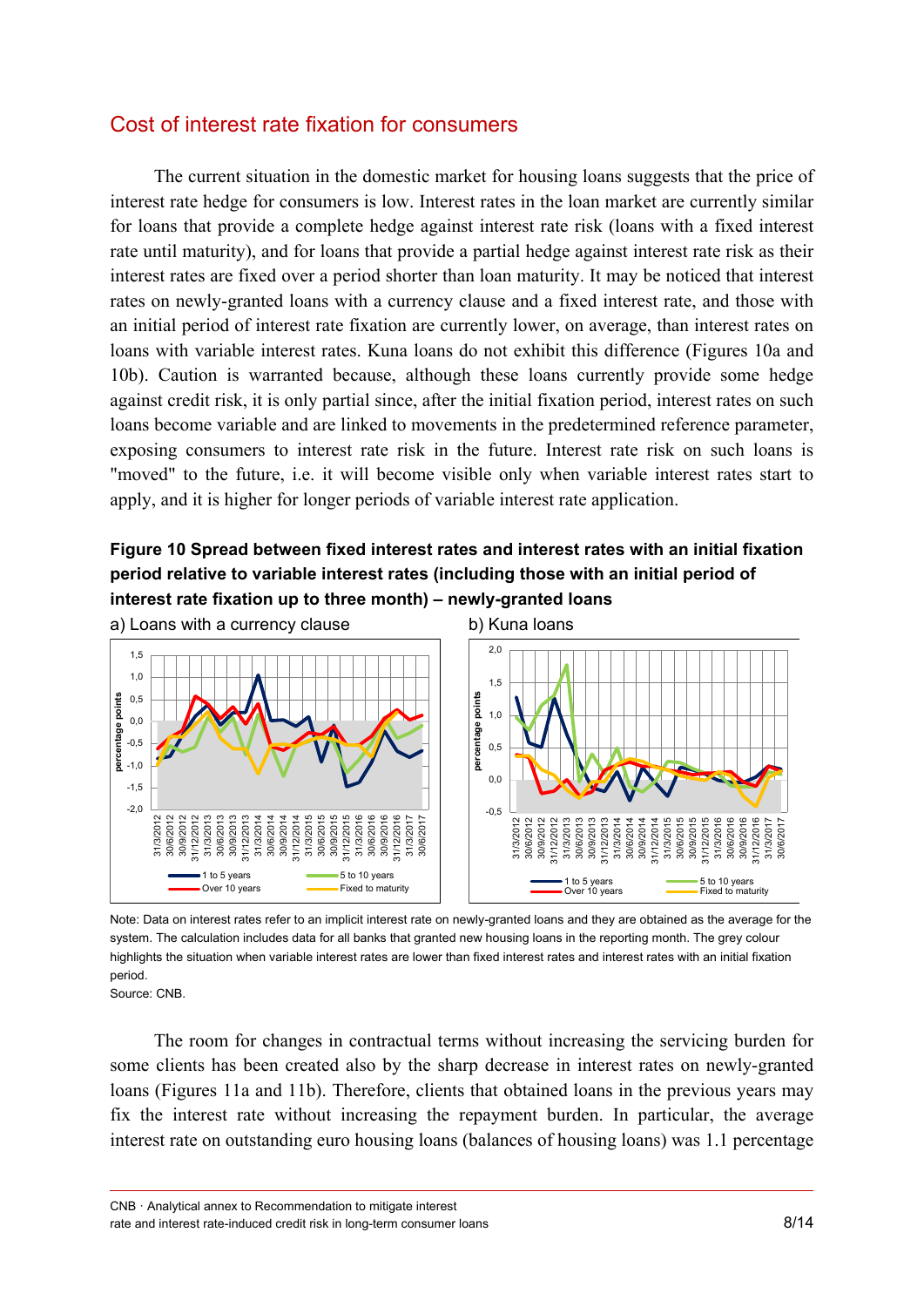## Cost of interest rate fixation for consumers

The current situation in the domestic market for housing loans suggests that the price of interest rate hedge for consumers is low. Interest rates in the loan market are currently similar for loans that provide a complete hedge against interest rate risk (loans with a fixed interest rate until maturity), and for loans that provide a partial hedge against interest rate risk as their interest rates are fixed over a period shorter than loan maturity. It may be noticed that interest rates on newly-granted loans with a currency clause and a fixed interest rate, and those with an initial period of interest rate fixation are currently lower, on average, than interest rates on loans with variable interest rates. Kuna loans do not exhibit this difference (Figures 10a and 10b). Caution is warranted because, although these loans currently provide some hedge against credit risk, it is only partial since, after the initial fixation period, interest rates on such loans become variable and are linked to movements in the predetermined reference parameter, exposing consumers to interest rate risk in the future. Interest rate risk on such loans is "moved" to the future, i.e. it will become visible only when variable interest rates start to apply, and it is higher for longer periods of variable interest rate application.

### **Figure 10 Spread between fixed interest rates and interest rates with an initial fixation period relative to variable interest rates (including those with an initial period of interest rate fixation up to three month) – newly-granted loans**



Note: Data on interest rates refer to an implicit interest rate on newly-granted loans and they are obtained as the average for the system. The calculation includes data for all banks that granted new housing loans in the reporting month. The grey colour highlights the situation when variable interest rates are lower than fixed interest rates and interest rates with an initial fixation period.

Source: CNB.

The room for changes in contractual terms without increasing the servicing burden for some clients has been created also by the sharp decrease in interest rates on newly-granted loans (Figures 11a and 11b). Therefore, clients that obtained loans in the previous years may fix the interest rate without increasing the repayment burden. In particular, the average interest rate on outstanding euro housing loans (balances of housing loans) was 1.1 percentage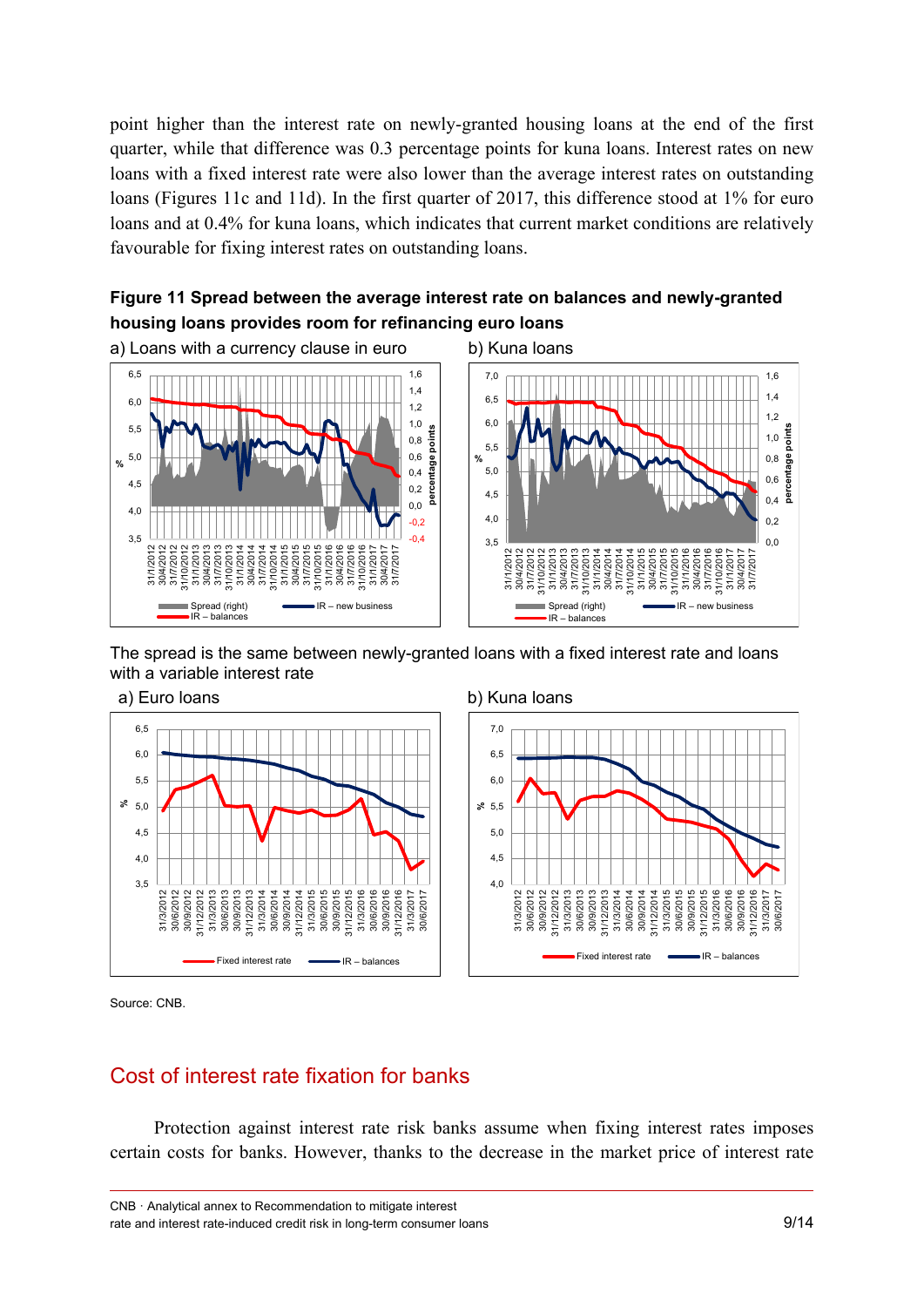point higher than the interest rate on newly-granted housing loans at the end of the first quarter, while that difference was 0.3 percentage points for kuna loans. Interest rates on new loans with a fixed interest rate were also lower than the average interest rates on outstanding loans (Figures 11c and 11d). In the first quarter of 2017, this difference stood at 1% for euro loans and at 0.4% for kuna loans, which indicates that current market conditions are relatively favourable for fixing interest rates on outstanding loans.







The spread is the same between newly-granted loans with a fixed interest rate and loans with a variable interest rate





Source: CNB.

### Cost of interest rate fixation for banks

Protection against interest rate risk banks assume when fixing interest rates imposes certain costs for banks. However, thanks to the decrease in the market price of interest rate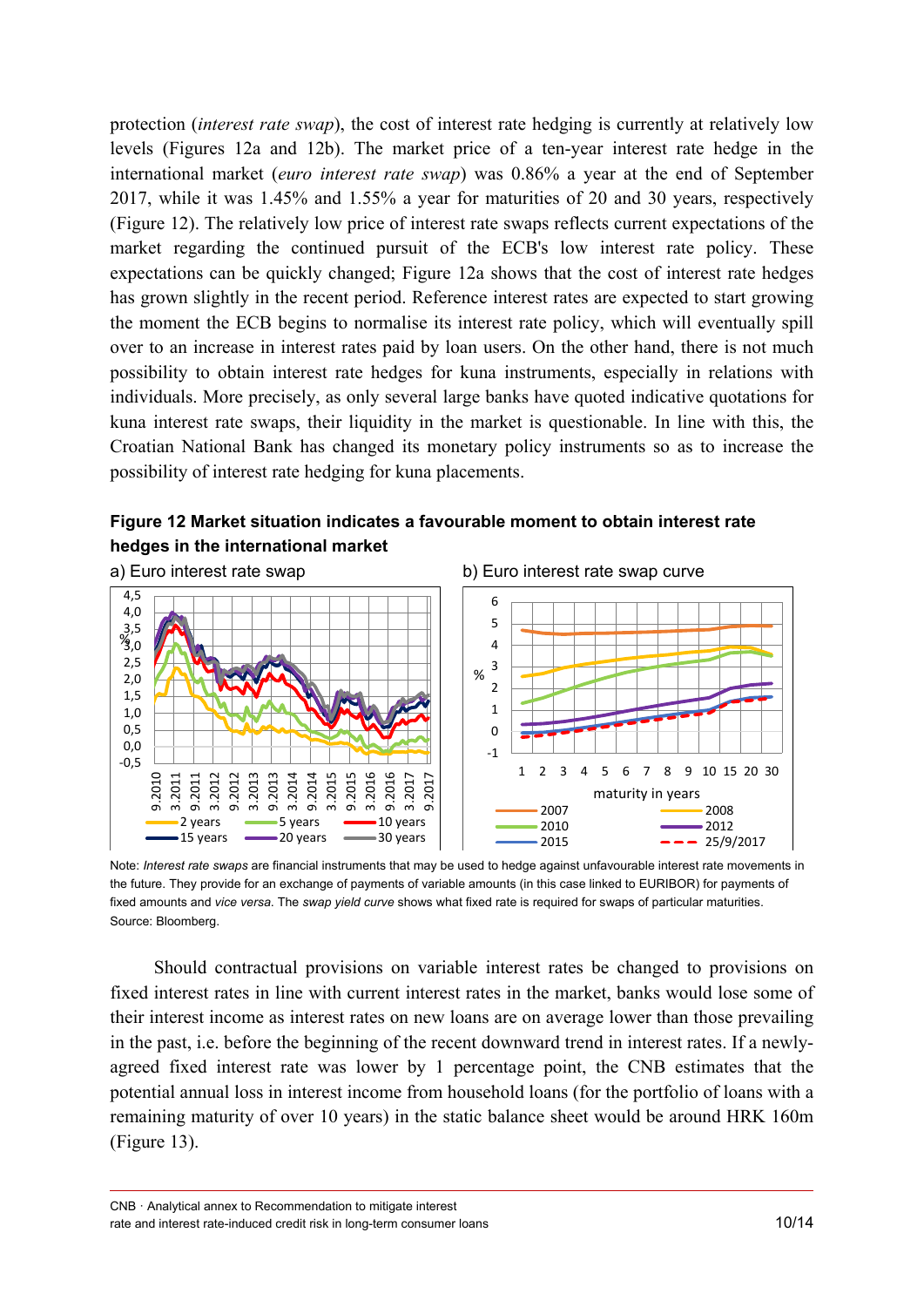protection (*interest rate swap*), the cost of interest rate hedging is currently at relatively low levels (Figures 12a and 12b). The market price of a ten-year interest rate hedge in the international market (*euro interest rate swap*) was 0.86% a year at the end of September 2017, while it was 1.45% and 1.55% a year for maturities of 20 and 30 years, respectively (Figure 12). The relatively low price of interest rate swaps reflects current expectations of the market regarding the continued pursuit of the ECB's low interest rate policy. These expectations can be quickly changed; Figure 12a shows that the cost of interest rate hedges has grown slightly in the recent period. Reference interest rates are expected to start growing the moment the ECB begins to normalise its interest rate policy, which will eventually spill over to an increase in interest rates paid by loan users. On the other hand, there is not much possibility to obtain interest rate hedges for kuna instruments, especially in relations with individuals. More precisely, as only several large banks have quoted indicative quotations for kuna interest rate swaps, their liquidity in the market is questionable. In line with this, the Croatian National Bank has changed its monetary policy instruments so as to increase the possibility of interest rate hedging for kuna placements.







Note: *Interest rate swaps* are financial instruments that may be used to hedge against unfavourable interest rate movements in the future. They provide for an exchange of payments of variable amounts (in this case linked to EURIBOR) for payments of fixed amounts and *vice versa*. The *swap yield curve* shows what fixed rate is required for swaps of particular maturities. Source: Bloomberg.

Should contractual provisions on variable interest rates be changed to provisions on fixed interest rates in line with current interest rates in the market, banks would lose some of their interest income as interest rates on new loans are on average lower than those prevailing in the past, i.e. before the beginning of the recent downward trend in interest rates. If a newlyagreed fixed interest rate was lower by 1 percentage point, the CNB estimates that the potential annual loss in interest income from household loans (for the portfolio of loans with a remaining maturity of over 10 years) in the static balance sheet would be around HRK 160m (Figure 13).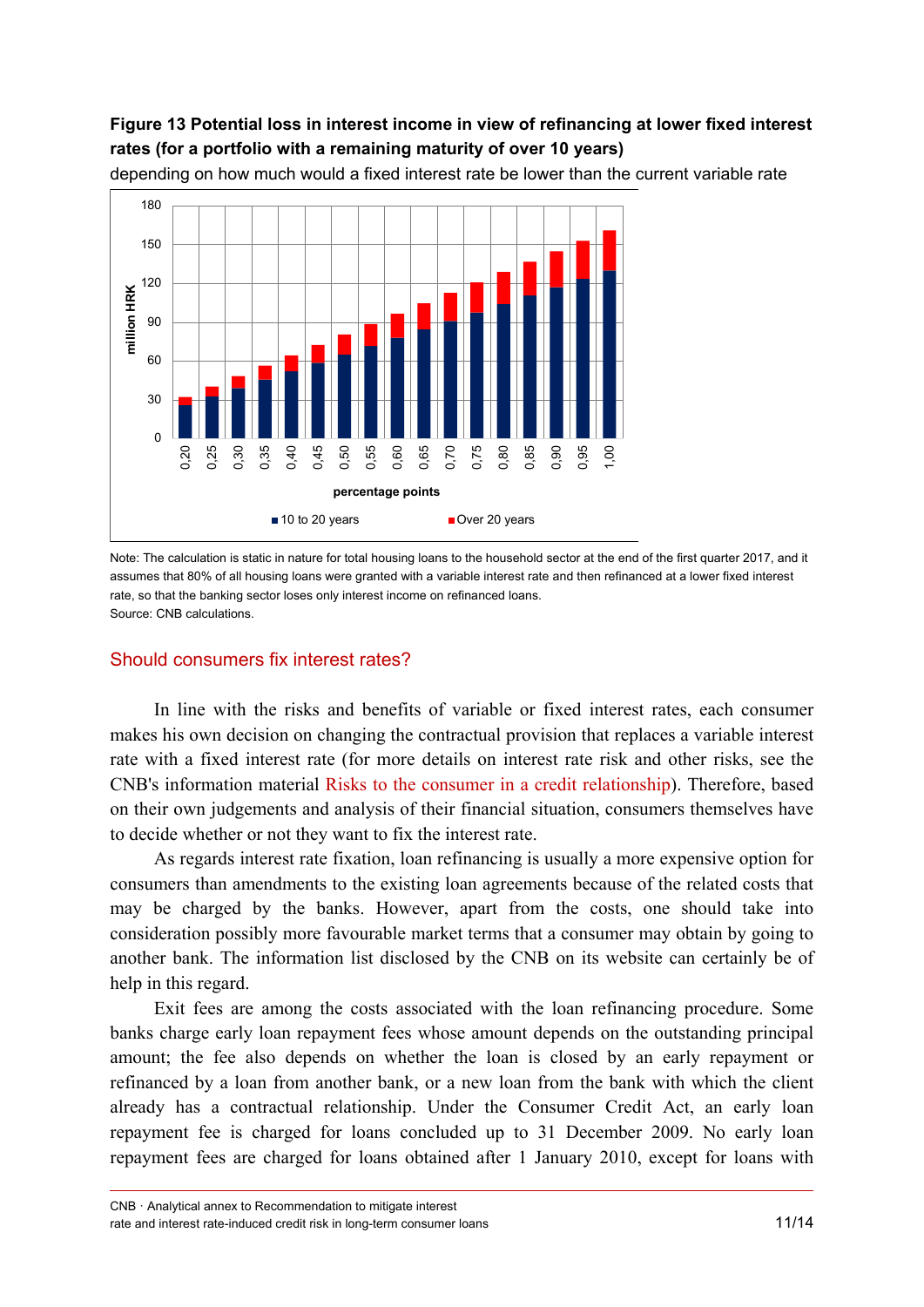### **Figure 13 Potential loss in interest income in view of refinancing at lower fixed interest rates (for a portfolio with a remaining maturity of over 10 years)**



depending on how much would a fixed interest rate be lower than the current variable rate

### Should consumers fix interest rates?

In line with the risks and benefits of variable or fixed interest rates, each consumer makes his own decision on changing the contractual provision that replaces a variable interest rate with a fixed interest rate (for more details on interest rate risk and other risks, see the CNB's information material [Risks to the consumer in a credit relationship\)](https://www.hnb.hr/documents/20182/708449/Risks+to+the+consumer+in+a+credit+relationship.pdf/908d45f0-43fa-460a-a3ac-e5b85c962d98). Therefore, based on their own judgements and analysis of their financial situation, consumers themselves have to decide whether or not they want to fix the interest rate.

As regards interest rate fixation, loan refinancing is usually a more expensive option for consumers than amendments to the existing loan agreements because of the related costs that may be charged by the banks. However, apart from the costs, one should take into consideration possibly more favourable market terms that a consumer may obtain by going to another bank. The information list disclosed by the CNB on its website can certainly be of help in this regard.

Exit fees are among the costs associated with the loan refinancing procedure. Some banks charge early loan repayment fees whose amount depends on the outstanding principal amount; the fee also depends on whether the loan is closed by an early repayment or refinanced by a loan from another bank, or a new loan from the bank with which the client already has a contractual relationship. Under the Consumer Credit Act, an early loan repayment fee is charged for loans concluded up to 31 December 2009. No early loan repayment fees are charged for loans obtained after 1 January 2010, except for loans with

Note: The calculation is static in nature for total housing loans to the household sector at the end of the first quarter 2017, and it assumes that 80% of all housing loans were granted with a variable interest rate and then refinanced at a lower fixed interest rate, so that the banking sector loses only interest income on refinanced loans. Source: CNB calculations.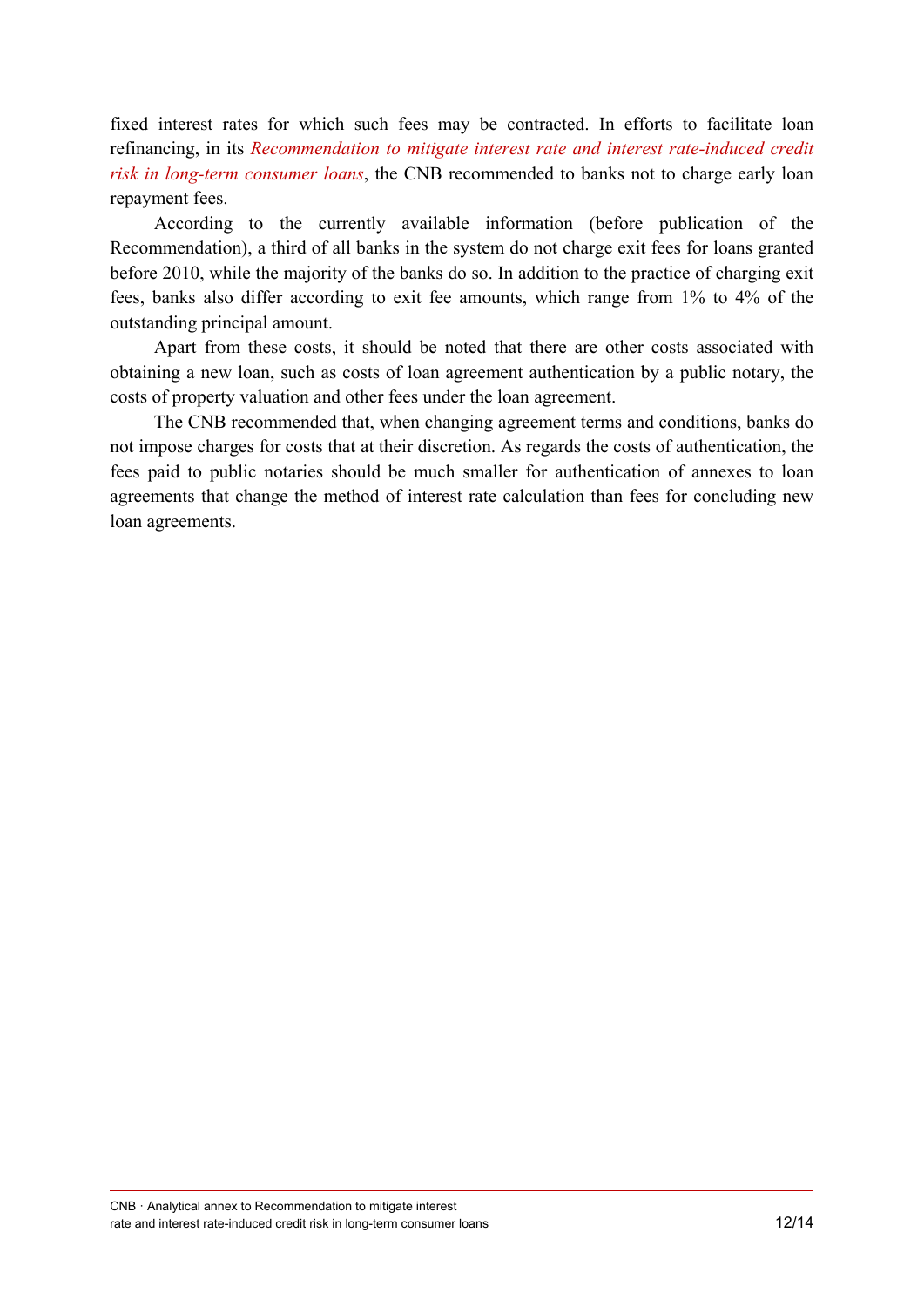fixed interest rates for which such fees may be contracted. In efforts to facilitate loan refinancing, in its *[Recommendation to mitigate interest rate and interest rate-induced credit](http://www.hnb.hr/documents/20182/2042017/ep26092017_preporuka.pdf/63011671-4e66-4f21-bb92-5afd01c3d13a)  [risk in long-term consumer loans](http://www.hnb.hr/documents/20182/2042017/ep26092017_preporuka.pdf/63011671-4e66-4f21-bb92-5afd01c3d13a)*, the CNB recommended to banks not to charge early loan repayment fees.

According to the currently available information (before publication of the Recommendation), a third of all banks in the system do not charge exit fees for loans granted before 2010, while the majority of the banks do so. In addition to the practice of charging exit fees, banks also differ according to exit fee amounts, which range from 1% to 4% of the outstanding principal amount.

Apart from these costs, it should be noted that there are other costs associated with obtaining a new loan, such as costs of loan agreement authentication by a public notary, the costs of property valuation and other fees under the loan agreement.

The CNB recommended that, when changing agreement terms and conditions, banks do not impose charges for costs that at their discretion. As regards the costs of authentication, the fees paid to public notaries should be much smaller for authentication of annexes to loan agreements that change the method of interest rate calculation than fees for concluding new loan agreements.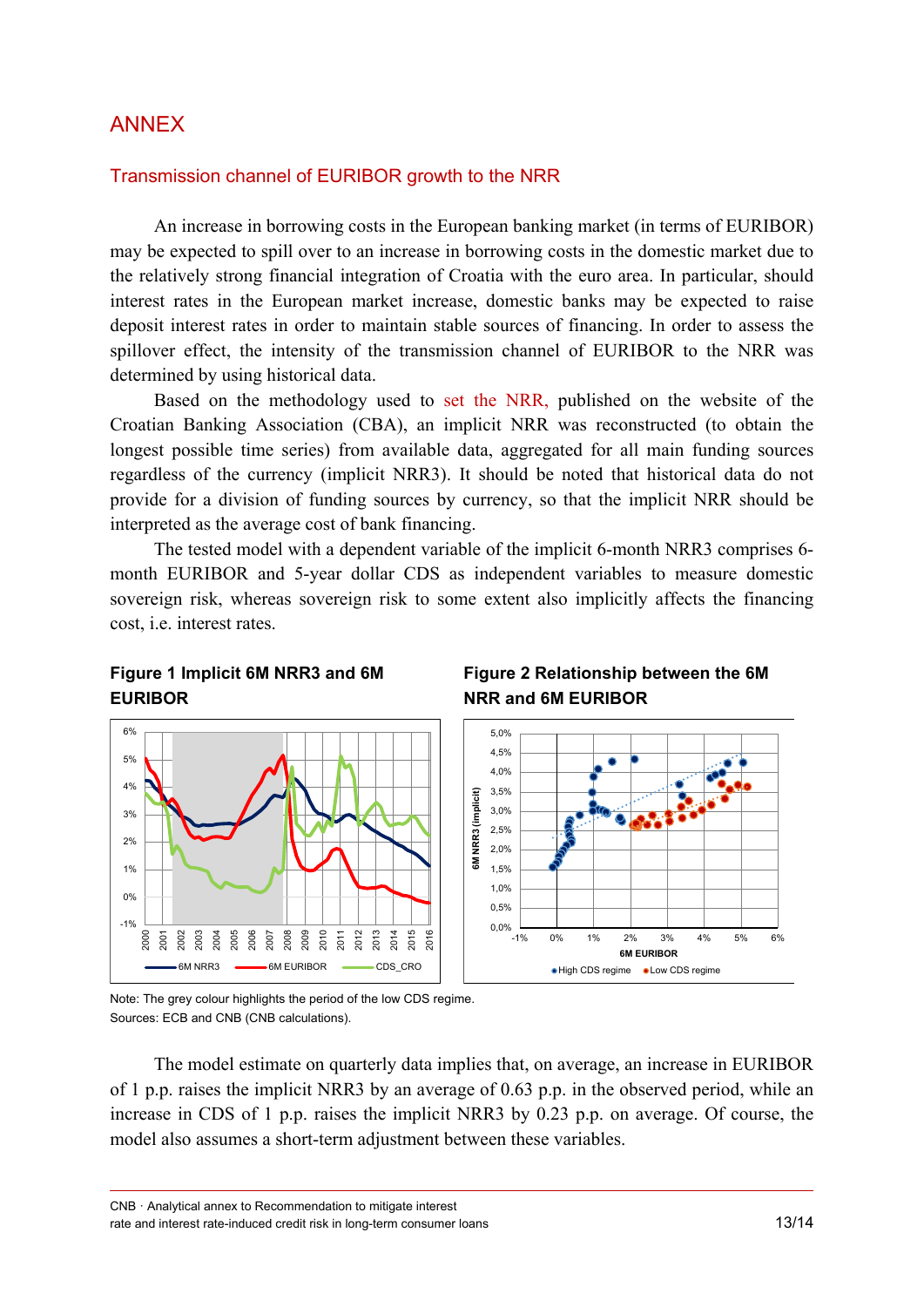## ANNEX

#### Transmission channel of EURIBOR growth to the NRR

An increase in borrowing costs in the European banking market (in terms of EURIBOR) may be expected to spill over to an increase in borrowing costs in the domestic market due to the relatively strong financial integration of Croatia with the euro area. In particular, should interest rates in the European market increase, domestic banks may be expected to raise deposit interest rates in order to maintain stable sources of financing. In order to assess the spillover effect, the intensity of the transmission channel of EURIBOR to the NRR was determined by using historical data.

Based on the methodology used to [set the NRR,](http://www.hub.hr/sites/default/files/metodologija_nrs.pdf) published on the website of the Croatian Banking Association (CBA), an implicit NRR was reconstructed (to obtain the longest possible time series) from available data, aggregated for all main funding sources regardless of the currency (implicit NRR3). It should be noted that historical data do not provide for a division of funding sources by currency, so that the implicit NRR should be interpreted as the average cost of bank financing.

The tested model with a dependent variable of the implicit 6-month NRR3 comprises 6 month EURIBOR and 5-year dollar CDS as independent variables to measure domestic sovereign risk, whereas sovereign risk to some extent also implicitly affects the financing cost, i.e. interest rates.

### **Figure 1 Implicit 6M NRR3 and 6M EURIBOR**



### **Figure 2 Relationship between the 6M NRR and 6M EURIBOR**



Note: The grey colour highlights the period of the low CDS regime. Sources: ECB and CNB (CNB calculations).

The model estimate on quarterly data implies that, on average, an increase in EURIBOR of 1 p.p. raises the implicit NRR3 by an average of 0.63 p.p. in the observed period, while an increase in CDS of 1 p.p. raises the implicit NRR3 by 0.23 p.p. on average. Of course, the model also assumes a short-term adjustment between these variables.